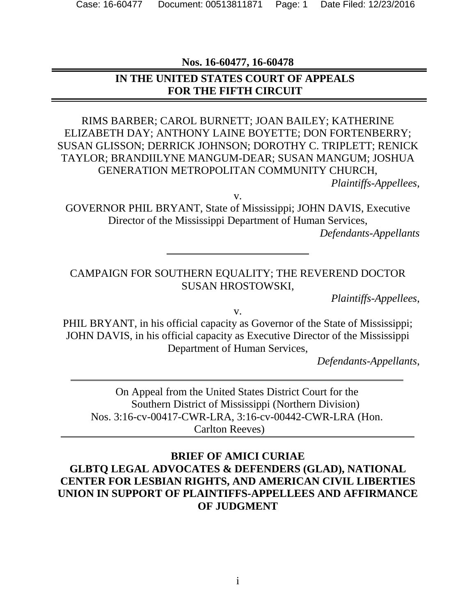**Nos. 16-60477, 16-60478**

### **IN THE UNITED STATES COURT OF APPEALS FOR THE FIFTH CIRCUIT**

## RIMS BARBER; CAROL BURNETT; JOAN BAILEY; KATHERINE ELIZABETH DAY; ANTHONY LAINE BOYETTE; DON FORTENBERRY; SUSAN GLISSON; DERRICK JOHNSON; DOROTHY C. TRIPLETT; RENICK TAYLOR; BRANDIILYNE MANGUM-DEAR; SUSAN MANGUM; JOSHUA GENERATION METROPOLITAN COMMUNITY CHURCH,

*Plaintiffs-Appellees*,

v.

GOVERNOR PHIL BRYANT, State of Mississippi; JOHN DAVIS, Executive Director of the Mississippi Department of Human Services,

*Defendants-Appellants*

#### CAMPAIGN FOR SOUTHERN EQUALITY; THE REVEREND DOCTOR SUSAN HROSTOWSKI,

*Plaintiffs-Appellees*,

v.

PHIL BRYANT, in his official capacity as Governor of the State of Mississippi; JOHN DAVIS, in his official capacity as Executive Director of the Mississippi Department of Human Services,

*Defendants-Appellants*,

On Appeal from the United States District Court for the Southern District of Mississippi (Northern Division) Nos. 3:16-cv-00417-CWR-LRA, 3:16-cv-00442-CWR-LRA (Hon. Carlton Reeves)

### **BRIEF OF AMICI CURIAE GLBTQ LEGAL ADVOCATES & DEFENDERS (GLAD), NATIONAL CENTER FOR LESBIAN RIGHTS, AND AMERICAN CIVIL LIBERTIES UNION IN SUPPORT OF PLAINTIFFS-APPELLEES AND AFFIRMANCE OF JUDGMENT**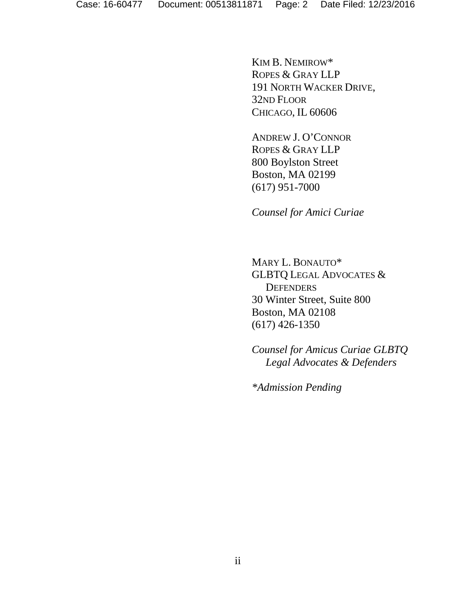KIM B. NEMIROW\* ROPES & GRAY LLP 191 NORTH WACKER DRIVE, 32ND FLOOR CHICAGO, IL 60606

ANDREW J. O'CONNOR ROPES & GRAY LLP 800 Boylston Street Boston, MA 02199 (617) 951-7000

*Counsel for Amici Curiae*

MARY L. BONAUTO\* GLBTQ LEGAL ADVOCATES & **DEFENDERS** 30 Winter Street, Suite 800 Boston, MA 02108 (617) 426-1350

*Counsel for Amicus Curiae GLBTQ Legal Advocates & Defenders*

*\*Admission Pending*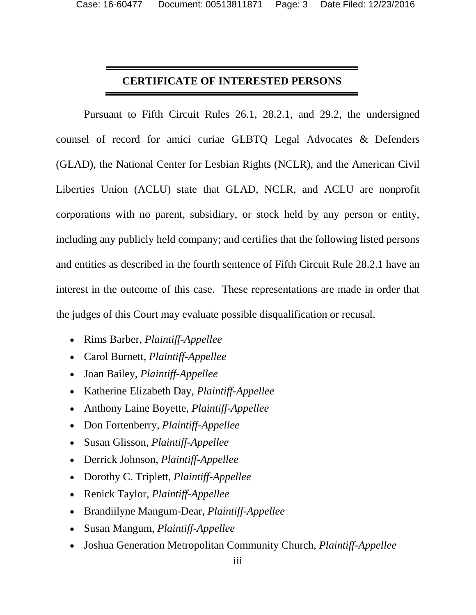#### **CERTIFICATE OF INTERESTED PERSONS**

Pursuant to Fifth Circuit Rules 26.1, 28.2.1, and 29.2, the undersigned counsel of record for amici curiae GLBTQ Legal Advocates & Defenders (GLAD), the National Center for Lesbian Rights (NCLR), and the American Civil Liberties Union (ACLU) state that GLAD, NCLR, and ACLU are nonprofit corporations with no parent, subsidiary, or stock held by any person or entity, including any publicly held company; and certifies that the following listed persons and entities as described in the fourth sentence of Fifth Circuit Rule 28.2.1 have an interest in the outcome of this case. These representations are made in order that the judges of this Court may evaluate possible disqualification or recusal.

- Rims Barber, *Plaintiff-Appellee*
- Carol Burnett, *Plaintiff-Appellee*
- Joan Bailey, *Plaintiff-Appellee*
- Katherine Elizabeth Day, *Plaintiff-Appellee*
- Anthony Laine Boyette, *Plaintiff-Appellee*
- Don Fortenberry, *Plaintiff-Appellee*
- Susan Glisson, *Plaintiff-Appellee*
- Derrick Johnson, *Plaintiff-Appellee*
- Dorothy C. Triplett, *Plaintiff-Appellee*
- Renick Taylor, *Plaintiff-Appellee*
- Brandiilyne Mangum-Dear, *Plaintiff-Appellee*
- Susan Mangum, *Plaintiff-Appellee*
- Joshua Generation Metropolitan Community Church, *Plaintiff-Appellee*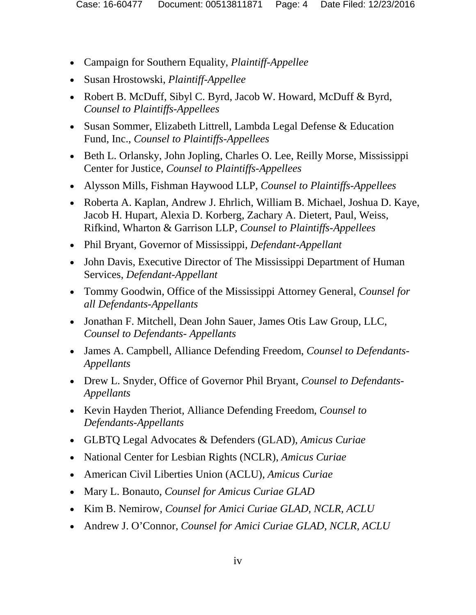- Campaign for Southern Equality, *Plaintiff-Appellee*
- Susan Hrostowski, *Plaintiff-Appellee*
- Robert B. McDuff, Sibyl C. Byrd, Jacob W. Howard, McDuff & Byrd, *Counsel to Plaintiffs-Appellees*
- Susan Sommer, Elizabeth Littrell, Lambda Legal Defense & Education Fund, Inc., *Counsel to Plaintiffs-Appellees*
- Beth L. Orlansky, John Jopling, Charles O. Lee, Reilly Morse, Mississippi Center for Justice, *Counsel to Plaintiffs-Appellees*
- Alysson Mills, Fishman Haywood LLP, *Counsel to Plaintiffs-Appellees*
- Roberta A. Kaplan, Andrew J. Ehrlich, William B. Michael, Joshua D. Kaye, Jacob H. Hupart, Alexia D. Korberg, Zachary A. Dietert, Paul, Weiss, Rifkind, Wharton & Garrison LLP, *Counsel to Plaintiffs-Appellees*
- Phil Bryant, Governor of Mississippi, *Defendant-Appellant*
- John Davis, Executive Director of The Mississippi Department of Human Services, *Defendant-Appellant*
- Tommy Goodwin, Office of the Mississippi Attorney General, *Counsel for all Defendants-Appellants*
- Jonathan F. Mitchell, Dean John Sauer, James Otis Law Group, LLC, *Counsel to Defendants- Appellants*
- James A. Campbell, Alliance Defending Freedom, *Counsel to Defendants-Appellants*
- Drew L. Snyder, Office of Governor Phil Bryant, *Counsel to Defendants-Appellants*
- Kevin Hayden Theriot, Alliance Defending Freedom, *Counsel to Defendants-Appellants*
- GLBTQ Legal Advocates & Defenders (GLAD), *Amicus Curiae*
- National Center for Lesbian Rights (NCLR), *Amicus Curiae*
- American Civil Liberties Union (ACLU), *Amicus Curiae*
- Mary L. Bonauto, *Counsel for Amicus Curiae GLAD*
- Kim B. Nemirow, *Counsel for Amici Curiae GLAD, NCLR, ACLU*
- Andrew J. O'Connor, *Counsel for Amici Curiae GLAD, NCLR, ACLU*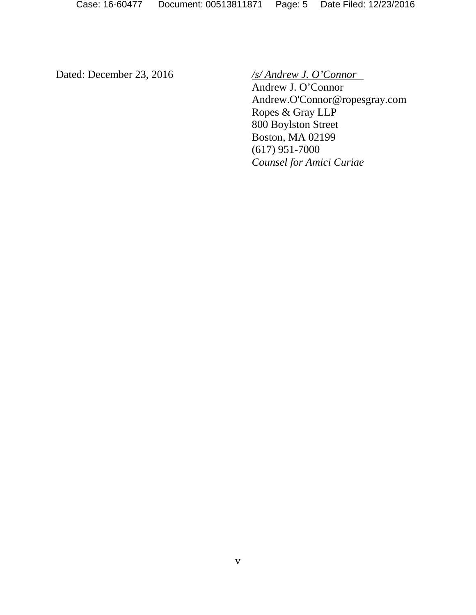Dated: December 23, 2016 */s/ Andrew J. O'Connor*

Andrew J. O'Connor Andrew.O'Connor@ropesgray.com Ropes & Gray LLP 800 Boylston Street Boston, MA 02199 (617) 951-7000 *Counsel for Amici Curiae*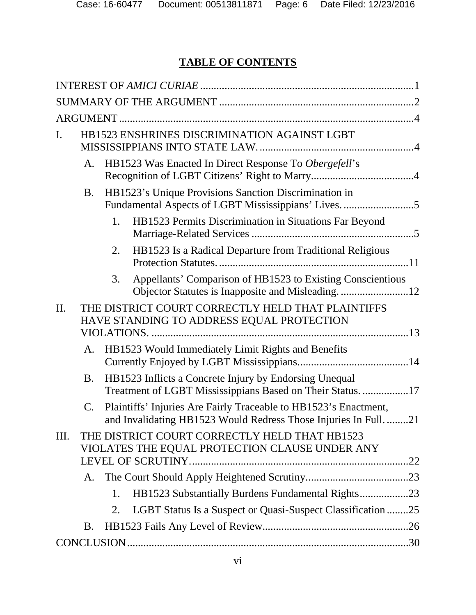## **TABLE OF CONTENTS**

| I.  | HB1523 ENSHRINES DISCRIMINATION AGAINST LGBT |    |                                                                                                                                      |  |  |  |
|-----|----------------------------------------------|----|--------------------------------------------------------------------------------------------------------------------------------------|--|--|--|
|     | A.                                           |    | HB1523 Was Enacted In Direct Response To Obergefell's                                                                                |  |  |  |
|     | <b>B.</b>                                    |    | HB1523's Unique Provisions Sanction Discrimination in                                                                                |  |  |  |
|     |                                              | 1. | HB1523 Permits Discrimination in Situations Far Beyond                                                                               |  |  |  |
|     |                                              | 2. | HB1523 Is a Radical Departure from Traditional Religious                                                                             |  |  |  |
|     |                                              | 3. | Appellants' Comparison of HB1523 to Existing Conscientious                                                                           |  |  |  |
| II. |                                              |    | THE DISTRICT COURT CORRECTLY HELD THAT PLAINTIFFS<br>HAVE STANDING TO ADDRESS EQUAL PROTECTION                                       |  |  |  |
|     |                                              |    | A. HB1523 Would Immediately Limit Rights and Benefits                                                                                |  |  |  |
|     | <b>B.</b>                                    |    | HB1523 Inflicts a Concrete Injury by Endorsing Unequal<br>Treatment of LGBT Mississippians Based on Their Status. 17                 |  |  |  |
|     | $C_{\cdot}$                                  |    | Plaintiffs' Injuries Are Fairly Traceable to HB1523's Enactment,<br>and Invalidating HB1523 Would Redress Those Injuries In Full. 21 |  |  |  |
| Ш.  |                                              |    | THE DISTRICT COURT CORRECTLY HELD THAT HB1523<br>VIOLATES THE EQUAL PROTECTION CLAUSE UNDER ANY                                      |  |  |  |
|     | A.                                           |    |                                                                                                                                      |  |  |  |
|     |                                              | 1. | HB1523 Substantially Burdens Fundamental Rights23                                                                                    |  |  |  |
|     |                                              | 2. | LGBT Status Is a Suspect or Quasi-Suspect Classification 25                                                                          |  |  |  |
|     | <b>B.</b>                                    |    |                                                                                                                                      |  |  |  |
|     |                                              |    |                                                                                                                                      |  |  |  |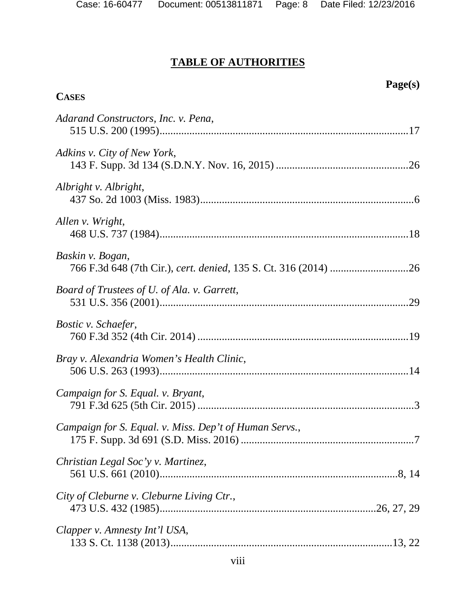**CASES**

#### **TABLE OF AUTHORITIES**

#### **Page(s)**

# *Adarand Constructors, Inc. v. Pena*, 515 U.S. 200 (1995)...........................................................................................[.17](#page-28-1) *Adkins v. City of New York*, 143 F. Supp. 3d 134 (S.D.N.Y. Nov. 16, 2015) ................................................[.26](#page-37-1) *Albright v. Albright*, 437 So. 2d 1003 (Miss. 1983)..............................................................................[.6](#page-17-0) *Allen v. Wright*, 468 U.S. 737 (1984)...........................................................................................[.18](#page-29-0) *Baskin v. Bogan*, 766 F.3d 648 (7th Cir.), *cert. denied*, 135 S. Ct. 316 (2014) ............................[.26](#page-37-2) *Board of Trustees of U. of Ala. v. Garrett*, 531 U.S. 356 (2001)...........................................................................................[.29](#page-40-0) *Bostic v. Schaefer*, 760 F.3d 352 (4th Cir. 2014) .............................................................................[.19](#page-30-0) *Bray v. Alexandria Women's Health Clinic*, 506 U.S. 263 (1993)...........................................................................................[.14](#page-25-1) *Campaign for S. Equal. v. Bryant*, 791 F.3d 625 (5th Cir. 2015) ...............................................................................[.3](#page-14-0) *Campaign for S. Equal. v. Miss. Dep't of Human Servs.*, 175 F. Supp. 3d 691 (S.D. Miss. 2016) ...............................................................[.7](#page-18-0) *Christian Legal Soc'y v. Martinez*, 561 U.S. 661 (2010).......................................................................................[.8,](#page-19-0) [14](#page-25-2) *City of Cleburne v. Cleburne Living Ctr.*, 473 U.S. 432 (1985)...............................................................................[.26,](#page-37-3) [27,](#page-37-4) [29](#page-40-1) *Clapper v. Amnesty Int'l USA*, 133 S. Ct. 1138 (2013).................................................................................[.13,](#page-24-1) [22](#page-33-1)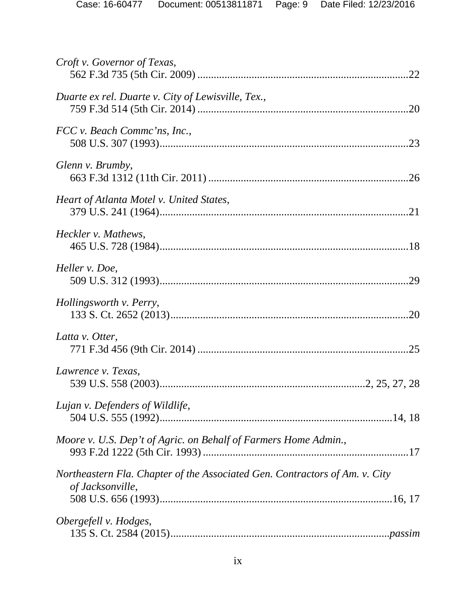| Croft v. Governor of Texas,                                                                     |  |
|-------------------------------------------------------------------------------------------------|--|
| Duarte ex rel. Duarte v. City of Lewisville, Tex.,                                              |  |
| FCC v. Beach Commc'ns, Inc.,                                                                    |  |
| Glenn v. Brumby,                                                                                |  |
| Heart of Atlanta Motel v. United States,                                                        |  |
| Heckler v. Mathews,                                                                             |  |
| Heller v. Doe,                                                                                  |  |
| Hollingsworth v. Perry,                                                                         |  |
| Latta v. Otter,                                                                                 |  |
| Lawrence v. Texas,                                                                              |  |
| Lujan v. Defenders of Wildlife,                                                                 |  |
| Moore v. U.S. Dep't of Agric. on Behalf of Farmers Home Admin.,                                 |  |
| Northeastern Fla. Chapter of the Associated Gen. Contractors of Am. v. City<br>of Jacksonville, |  |
|                                                                                                 |  |
| Obergefell v. Hodges,                                                                           |  |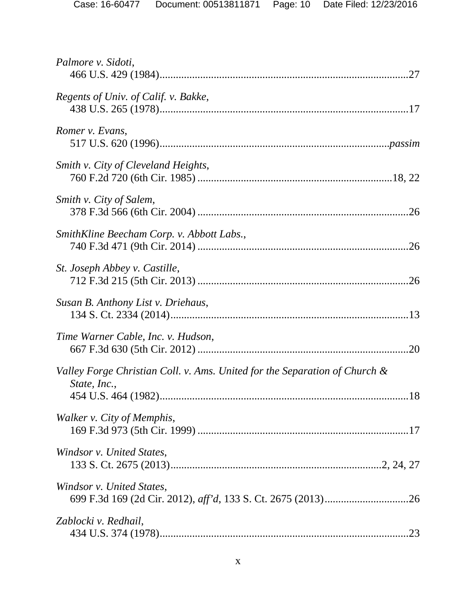| Palmore v. Sidoti,                                                         |  |
|----------------------------------------------------------------------------|--|
| Regents of Univ. of Calif. v. Bakke,                                       |  |
| Romer v. Evans,                                                            |  |
| Smith v. City of Cleveland Heights,                                        |  |
| Smith v. City of Salem,                                                    |  |
| SmithKline Beecham Corp. v. Abbott Labs.,                                  |  |
| St. Joseph Abbey v. Castille,                                              |  |
| Susan B. Anthony List v. Driehaus,                                         |  |
| Time Warner Cable, Inc. v. Hudson,                                         |  |
| Valley Forge Christian Coll. v. Ams. United for the Separation of Church & |  |
| State, Inc.,                                                               |  |
| Walker v. City of Memphis,                                                 |  |
| Windsor v. United States,                                                  |  |
| Windsor v. United States,                                                  |  |
| Zablocki v. Redhail,                                                       |  |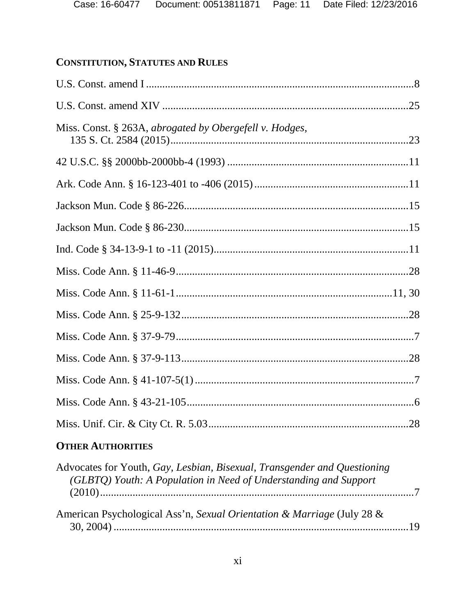## **CONSTITUTION, STATUTES AND RULES**

| Miss. Const. § 263A, abrogated by Obergefell v. Hodges, |  |
|---------------------------------------------------------|--|
|                                                         |  |
|                                                         |  |
|                                                         |  |
|                                                         |  |
|                                                         |  |
|                                                         |  |
|                                                         |  |
|                                                         |  |
|                                                         |  |
|                                                         |  |
|                                                         |  |
|                                                         |  |
|                                                         |  |
|                                                         |  |

## **OTHER AUTHORITIES**

| Advocates for Youth, Gay, Lesbian, Bisexual, Transgender and Questioning<br>(GLBTQ) Youth: A Population in Need of Understanding and Support |  |
|----------------------------------------------------------------------------------------------------------------------------------------------|--|
| American Psychological Ass'n, Sexual Orientation & Marriage (July 28 &                                                                       |  |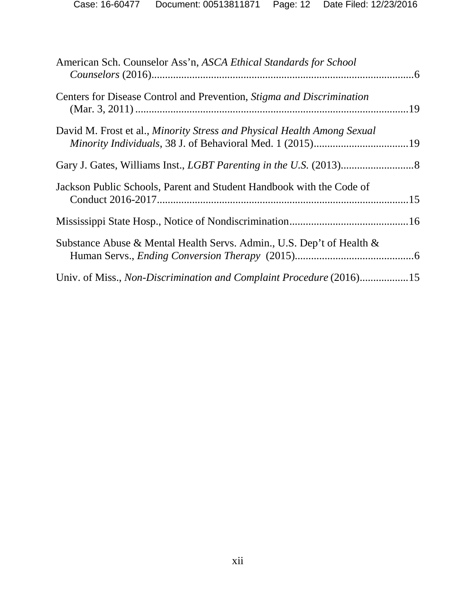| American Sch. Counselor Ass'n, ASCA Ethical Standards for School        |  |
|-------------------------------------------------------------------------|--|
| Centers for Disease Control and Prevention, Stigma and Discrimination   |  |
| David M. Frost et al., Minority Stress and Physical Health Among Sexual |  |
|                                                                         |  |
| Jackson Public Schools, Parent and Student Handbook with the Code of    |  |
|                                                                         |  |
| Substance Abuse & Mental Health Servs. Admin., U.S. Dep't of Health &   |  |
| Univ. of Miss., Non-Discrimination and Complaint Procedure (2016)15     |  |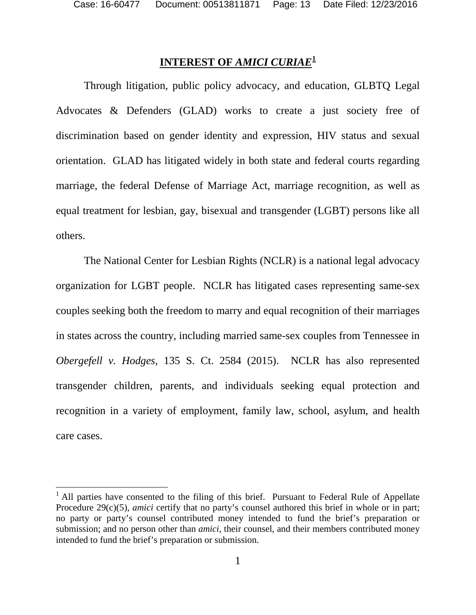$\overline{a}$ 

## **INTEREST OF** *AMICI CURIAE***[1](#page-12-1)**

<span id="page-12-0"></span>Through litigation, public policy advocacy, and education, GLBTQ Legal Advocates & Defenders (GLAD) works to create a just society free of discrimination based on gender identity and expression, HIV status and sexual orientation. GLAD has litigated widely in both state and federal courts regarding marriage, the federal Defense of Marriage Act, marriage recognition, as well as equal treatment for lesbian, gay, bisexual and transgender (LGBT) persons like all others.

The National Center for Lesbian Rights (NCLR) is a national legal advocacy organization for LGBT people. NCLR has litigated cases representing same-sex couples seeking both the freedom to marry and equal recognition of their marriages in states across the country, including married same-sex couples from Tennessee in *Obergefell v. Hodges*, 135 S. Ct. 2584 (2015). NCLR has also represented transgender children, parents, and individuals seeking equal protection and recognition in a variety of employment, family law, school, asylum, and health care cases.

<span id="page-12-1"></span><sup>&</sup>lt;sup>1</sup> All parties have consented to the filing of this brief. Pursuant to Federal Rule of Appellate Procedure 29(c)(5), *amici* certify that no party's counsel authored this brief in whole or in part; no party or party's counsel contributed money intended to fund the brief's preparation or submission; and no person other than *amici*, their counsel, and their members contributed money intended to fund the brief's preparation or submission.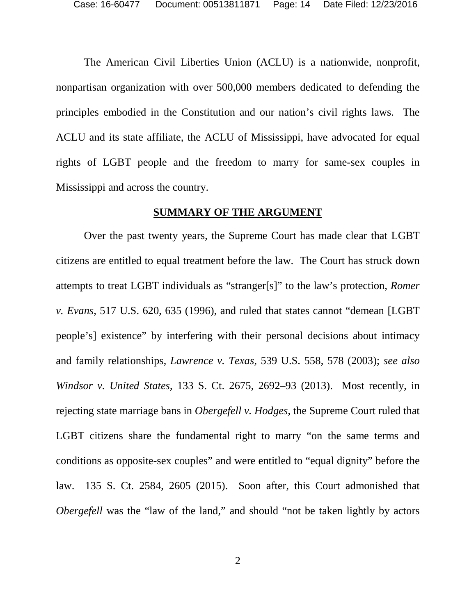The American Civil Liberties Union (ACLU) is a nationwide, nonprofit, nonpartisan organization with over 500,000 members dedicated to defending the principles embodied in the Constitution and our nation's civil rights laws. The ACLU and its state affiliate, the ACLU of Mississippi, have advocated for equal rights of LGBT people and the freedom to marry for same-sex couples in Mississippi and across the country.

#### <span id="page-13-2"></span><span id="page-13-1"></span>**SUMMARY OF THE ARGUMENT**

<span id="page-13-3"></span><span id="page-13-0"></span>Over the past twenty years, the Supreme Court has made clear that LGBT citizens are entitled to equal treatment before the law. The Court has struck down attempts to treat LGBT individuals as "stranger[s]" to the law's protection, *Romer v. Evans*, 517 U.S. 620, 635 (1996), and ruled that states cannot "demean [LGBT people's] existence" by interfering with their personal decisions about intimacy and family relationships, *Lawrence v. Texas*, 539 U.S. 558, 578 (2003); *see also Windsor v. United States*, 133 S. Ct. 2675, 2692–93 (2013). Most recently, in rejecting state marriage bans in *Obergefell v. Hodges*, the Supreme Court ruled that LGBT citizens share the fundamental right to marry "on the same terms and conditions as opposite-sex couples" and were entitled to "equal dignity" before the law. 135 S. Ct. 2584, 2605 (2015). Soon after, this Court admonished that *Obergefell* was the "law of the land," and should "not be taken lightly by actors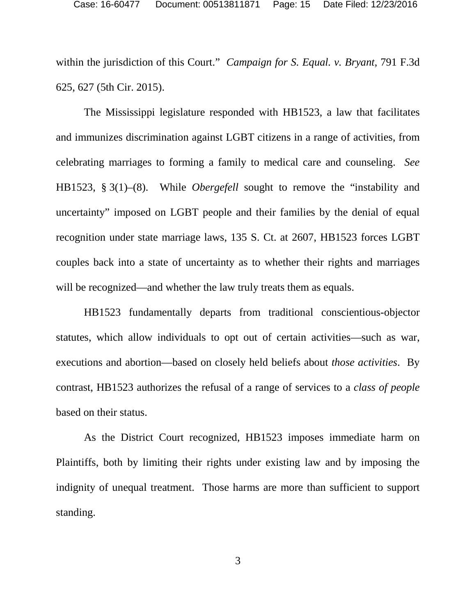<span id="page-14-0"></span>within the jurisdiction of this Court." *Campaign for S. Equal. v. Bryant*, 791 F.3d 625, 627 (5th Cir. 2015).

The Mississippi legislature responded with HB1523, a law that facilitates and immunizes discrimination against LGBT citizens in a range of activities, from celebrating marriages to forming a family to medical care and counseling. *See*  HB1523, § 3(1)–(8). While *Obergefell* sought to remove the "instability and uncertainty" imposed on LGBT people and their families by the denial of equal recognition under state marriage laws, 135 S. Ct. at 2607, HB1523 forces LGBT couples back into a state of uncertainty as to whether their rights and marriages will be recognized—and whether the law truly treats them as equals.

HB1523 fundamentally departs from traditional conscientious-objector statutes, which allow individuals to opt out of certain activities—such as war, executions and abortion—based on closely held beliefs about *those activities*. By contrast, HB1523 authorizes the refusal of a range of services to a *class of people* based on their status.

As the District Court recognized, HB1523 imposes immediate harm on Plaintiffs, both by limiting their rights under existing law and by imposing the indignity of unequal treatment. Those harms are more than sufficient to support standing.

3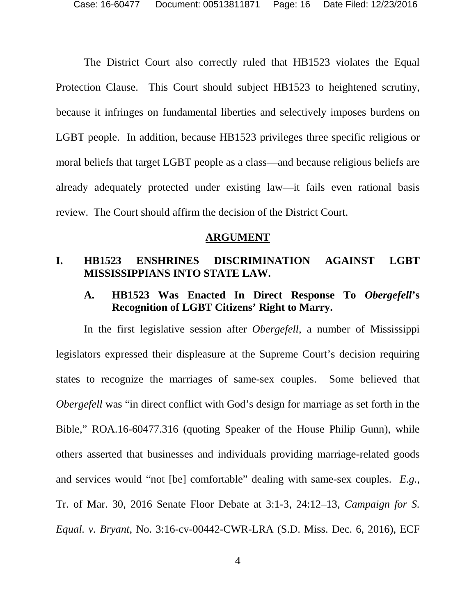The District Court also correctly ruled that HB1523 violates the Equal Protection Clause. This Court should subject HB1523 to heightened scrutiny, because it infringes on fundamental liberties and selectively imposes burdens on LGBT people. In addition, because HB1523 privileges three specific religious or moral beliefs that target LGBT people as a class—and because religious beliefs are already adequately protected under existing law—it fails even rational basis review. The Court should affirm the decision of the District Court.

#### **ARGUMENT**

#### <span id="page-15-1"></span><span id="page-15-0"></span>**I. HB1523 ENSHRINES DISCRIMINATION AGAINST LGBT MISSISSIPPIANS INTO STATE LAW.**

#### <span id="page-15-2"></span>**A. HB1523 Was Enacted In Direct Response To** *Obergefell***'s Recognition of LGBT Citizens' Right to Marry.**

In the first legislative session after *Obergefell*, a number of Mississippi legislators expressed their displeasure at the Supreme Court's decision requiring states to recognize the marriages of same-sex couples. Some believed that *Obergefell* was "in direct conflict with God's design for marriage as set forth in the Bible," ROA.16-60477.316 (quoting Speaker of the House Philip Gunn), while others asserted that businesses and individuals providing marriage-related goods and services would "not [be] comfortable" dealing with same-sex couples. *E.g.*, Tr. of Mar. 30, 2016 Senate Floor Debate at 3:1-3, 24:12–13, *Campaign for S. Equal. v. Bryant*, No. 3:16-cv-00442-CWR-LRA (S.D. Miss. Dec. 6, 2016), ECF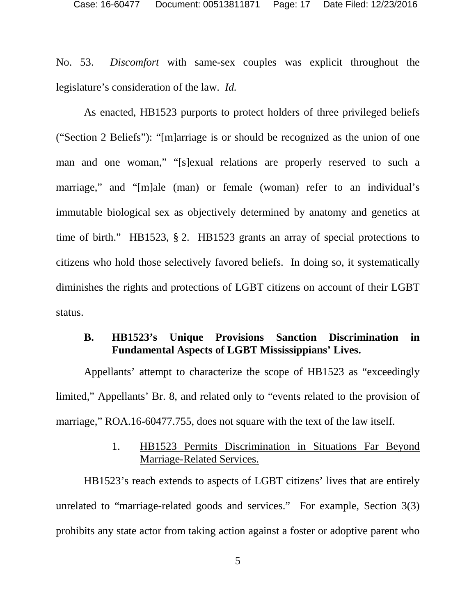No. 53. *Discomfort* with same-sex couples was explicit throughout the legislature's consideration of the law. *Id.*

As enacted, HB1523 purports to protect holders of three privileged beliefs ("Section 2 Beliefs"): "[m]arriage is or should be recognized as the union of one man and one woman," "[s]exual relations are properly reserved to such a marriage," and "[m]ale (man) or female (woman) refer to an individual's immutable biological sex as objectively determined by anatomy and genetics at time of birth." HB1523, § 2. HB1523 grants an array of special protections to citizens who hold those selectively favored beliefs. In doing so, it systematically diminishes the rights and protections of LGBT citizens on account of their LGBT status.

## <span id="page-16-0"></span>**B. HB1523's Unique Provisions Sanction Discrimination in Fundamental Aspects of LGBT Mississippians' Lives.**

Appellants' attempt to characterize the scope of HB1523 as "exceedingly limited," Appellants' Br. 8, and related only to "events related to the provision of marriage," ROA.16-60477.755, does not square with the text of the law itself.

#### 1. HB1523 Permits Discrimination in Situations Far Beyond Marriage-Related Services.

<span id="page-16-1"></span>HB1523's reach extends to aspects of LGBT citizens' lives that are entirely unrelated to "marriage-related goods and services." For example, Section 3(3) prohibits any state actor from taking action against a foster or adoptive parent who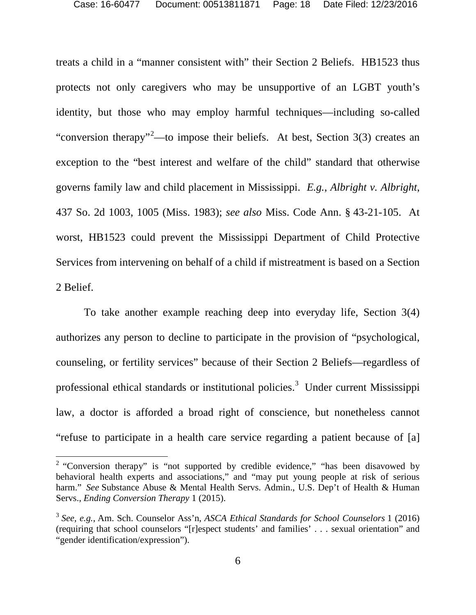<span id="page-17-0"></span>treats a child in a "manner consistent with" their Section 2 Beliefs. HB1523 thus protects not only caregivers who may be unsupportive of an LGBT youth's identity, but those who may employ harmful techniques—including so-called "conversion therapy"<sup>[2](#page-17-4)</sup>—to impose their beliefs. At best, Section 3(3) creates an exception to the "best interest and welfare of the child" standard that otherwise governs family law and child placement in Mississippi. *E.g.*, *Albright v. Albright*, 437 So. 2d 1003, 1005 (Miss. 1983); *see also* Miss. Code Ann. § 43-21-105. At worst, HB1523 could prevent the Mississippi Department of Child Protective Services from intervening on behalf of a child if mistreatment is based on a Section 2 Belief.

<span id="page-17-1"></span>To take another example reaching deep into everyday life, Section 3(4) authorizes any person to decline to participate in the provision of "psychological, counseling, or fertility services" because of their Section 2 Beliefs—regardless of professional ethical standards or institutional policies.<sup>[3](#page-17-5)</sup> Under current Mississippi law, a doctor is afforded a broad right of conscience, but nonetheless cannot "refuse to participate in a health care service regarding a patient because of [a]

<span id="page-17-4"></span><span id="page-17-3"></span><sup>&</sup>lt;sup>2</sup> "Conversion therapy" is "not supported by credible evidence," "has been disavowed by behavioral health experts and associations," and "may put young people at risk of serious harm." *See* Substance Abuse & Mental Health Servs. Admin., U.S. Dep't of Health & Human Servs., *Ending Conversion Therapy* 1 (2015).

<span id="page-17-5"></span><span id="page-17-2"></span><sup>3</sup> *See, e.g.*, Am. Sch. Counselor Ass'n, *ASCA Ethical Standards for School Counselors* 1 (2016) (requiring that school counselors "[r]espect students' and families' . . . sexual orientation" and "gender identification/expression").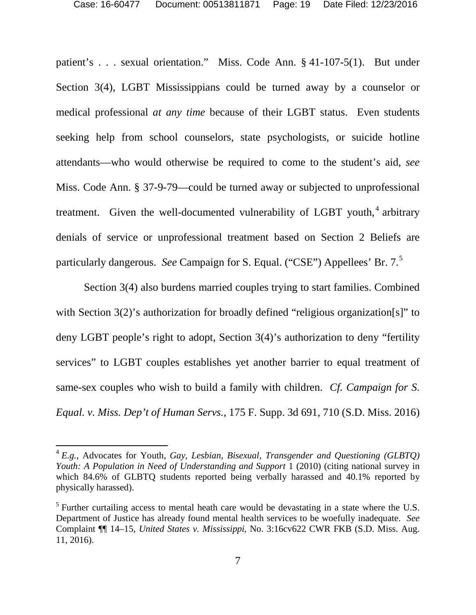<span id="page-18-2"></span>patient's . . . sexual orientation." Miss. Code Ann. § 41-107-5(1). But under Section 3(4), LGBT Mississippians could be turned away by a counselor or medical professional *at any time* because of their LGBT status. Even students seeking help from school counselors, state psychologists, or suicide hotline attendants—who would otherwise be required to come to the student's aid, *see* Miss. Code Ann. § 37-9-79—could be turned away or subjected to unprofessional treatment. Given the well-documented vulnerability of LGBT youth, $4$  arbitrary denials of service or unprofessional treatment based on Section 2 Beliefs are particularly dangerous. *See* Campaign for S. Equal. ("CSE") Appellees' Br. 7.[5](#page-18-5)

<span id="page-18-1"></span>Section 3(4) also burdens married couples trying to start families. Combined with Section 3(2)'s authorization for broadly defined "religious organization[s]" to deny LGBT people's right to adopt, Section 3(4)'s authorization to deny "fertility services" to LGBT couples establishes yet another barrier to equal treatment of same-sex couples who wish to build a family with children. *Cf. Campaign for S. Equal. v. Miss. Dep't of Human Servs.*, 175 F. Supp. 3d 691, 710 (S.D. Miss. 2016)

<span id="page-18-4"></span><span id="page-18-3"></span><span id="page-18-0"></span><sup>4</sup> *E.g.*, Advocates for Youth, *Gay, Lesbian, Bisexual, Transgender and Questioning (GLBTQ) Youth: A Population in Need of Understanding and Support* 1 (2010) (citing national survey in which 84.6% of GLBTQ students reported being verbally harassed and 40.1% reported by physically harassed).

<span id="page-18-5"></span> $<sup>5</sup>$  Further curtailing access to mental heath care would be devastating in a state where the U.S.</sup> Department of Justice has already found mental health services to be woefully inadequate. *See* Complaint ¶¶ 14–15, *United States v. Mississippi*, No. 3:16cv622 CWR FKB (S.D. Miss. Aug. 11, 2016).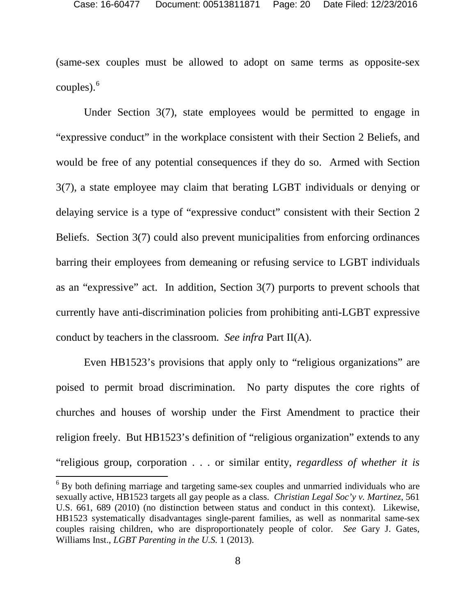(same-sex couples must be allowed to adopt on same terms as opposite-sex couples). $6$ 

Under Section 3(7), state employees would be permitted to engage in "expressive conduct" in the workplace consistent with their Section 2 Beliefs, and would be free of any potential consequences if they do so. Armed with Section 3(7), a state employee may claim that berating LGBT individuals or denying or delaying service is a type of "expressive conduct" consistent with their Section 2 Beliefs. Section 3(7) could also prevent municipalities from enforcing ordinances barring their employees from demeaning or refusing service to LGBT individuals as an "expressive" act. In addition, Section 3(7) purports to prevent schools that currently have anti-discrimination policies from prohibiting anti-LGBT expressive conduct by teachers in the classroom. *See infra* Part II(A).

<span id="page-19-1"></span>Even HB1523's provisions that apply only to "religious organizations" are poised to permit broad discrimination. No party disputes the core rights of churches and houses of worship under the First Amendment to practice their religion freely. But HB1523's definition of "religious organization" extends to any "religious group, corporation . . . or similar entity, *regardless of whether it is* 

<span id="page-19-3"></span><span id="page-19-2"></span><span id="page-19-0"></span> $6$  By both defining marriage and targeting same-sex couples and unmarried individuals who are sexually active, HB1523 targets all gay people as a class. *Christian Legal Soc'y v. Martinez*, 561 U.S. 661, 689 (2010) (no distinction between status and conduct in this context). Likewise, HB1523 systematically disadvantages single-parent families, as well as nonmarital same-sex couples raising children, who are disproportionately people of color. *See* Gary J. Gates, Williams Inst., *LGBT Parenting in the U.S.* 1 (2013).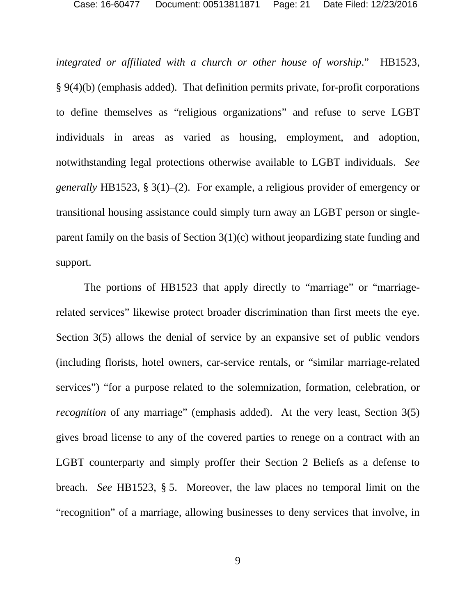*integrated or affiliated with a church or other house of worship*." HB1523, § 9(4)(b) (emphasis added). That definition permits private, for-profit corporations to define themselves as "religious organizations" and refuse to serve LGBT individuals in areas as varied as housing, employment, and adoption, notwithstanding legal protections otherwise available to LGBT individuals. *See generally* HB1523, § 3(1)–(2). For example, a religious provider of emergency or transitional housing assistance could simply turn away an LGBT person or singleparent family on the basis of Section 3(1)(c) without jeopardizing state funding and support.

The portions of HB1523 that apply directly to "marriage" or "marriagerelated services" likewise protect broader discrimination than first meets the eye. Section 3(5) allows the denial of service by an expansive set of public vendors (including florists, hotel owners, car-service rentals, or "similar marriage-related services") "for a purpose related to the solemnization, formation, celebration, or *recognition* of any marriage" (emphasis added). At the very least, Section 3(5) gives broad license to any of the covered parties to renege on a contract with an LGBT counterparty and simply proffer their Section 2 Beliefs as a defense to breach. *See* HB1523, § 5. Moreover, the law places no temporal limit on the "recognition" of a marriage, allowing businesses to deny services that involve, in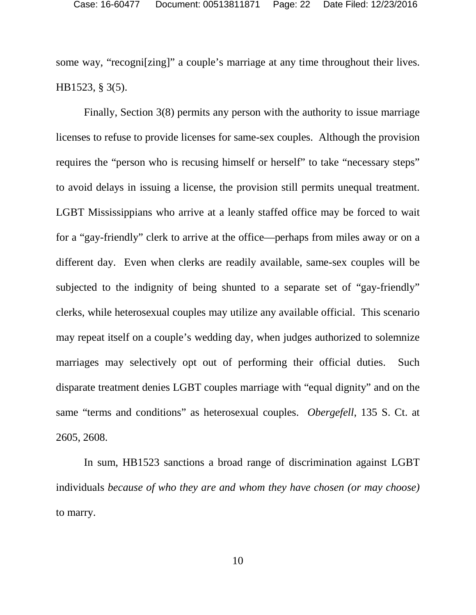some way, "recogni[zing]" a couple's marriage at any time throughout their lives. HB1523, § 3(5).

Finally, Section 3(8) permits any person with the authority to issue marriage licenses to refuse to provide licenses for same-sex couples. Although the provision requires the "person who is recusing himself or herself" to take "necessary steps" to avoid delays in issuing a license, the provision still permits unequal treatment. LGBT Mississippians who arrive at a leanly staffed office may be forced to wait for a "gay-friendly" clerk to arrive at the office—perhaps from miles away or on a different day. Even when clerks are readily available, same-sex couples will be subjected to the indignity of being shunted to a separate set of "gay-friendly" clerks, while heterosexual couples may utilize any available official. This scenario may repeat itself on a couple's wedding day, when judges authorized to solemnize marriages may selectively opt out of performing their official duties. Such disparate treatment denies LGBT couples marriage with "equal dignity" and on the same "terms and conditions" as heterosexual couples. *Obergefell*, 135 S. Ct. at 2605, 2608.

In sum, HB1523 sanctions a broad range of discrimination against LGBT individuals *because of who they are and whom they have chosen (or may choose)* to marry.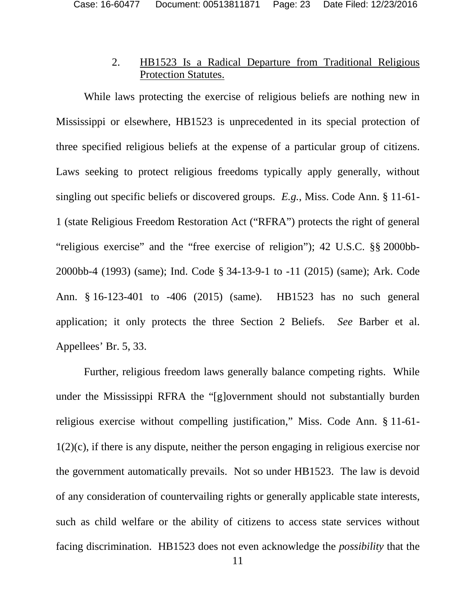#### <span id="page-22-4"></span><span id="page-22-1"></span>2. HB1523 Is a Radical Departure from Traditional Religious Protection Statutes.

<span id="page-22-0"></span>While laws protecting the exercise of religious beliefs are nothing new in Mississippi or elsewhere, HB1523 is unprecedented in its special protection of three specified religious beliefs at the expense of a particular group of citizens. Laws seeking to protect religious freedoms typically apply generally, without singling out specific beliefs or discovered groups. *E.g.*, Miss. Code Ann. § 11-61- 1 (state Religious Freedom Restoration Act ("RFRA") protects the right of general "religious exercise" and the "free exercise of religion"); 42 U.S.C. §§ 2000bb-2000bb-4 (1993) (same); Ind. Code § 34-13-9-1 to -11 (2015) (same); Ark. Code Ann. § 16-123-401 to -406 (2015) (same). HB1523 has no such general application; it only protects the three Section 2 Beliefs. *See* Barber et al. Appellees' Br. 5, 33.

<span id="page-22-3"></span><span id="page-22-2"></span>Further, religious freedom laws generally balance competing rights. While under the Mississippi RFRA the "[g]overnment should not substantially burden religious exercise without compelling justification," Miss. Code Ann. § 11-61- 1(2)(c), if there is any dispute, neither the person engaging in religious exercise nor the government automatically prevails. Not so under HB1523. The law is devoid of any consideration of countervailing rights or generally applicable state interests, such as child welfare or the ability of citizens to access state services without facing discrimination. HB1523 does not even acknowledge the *possibility* that the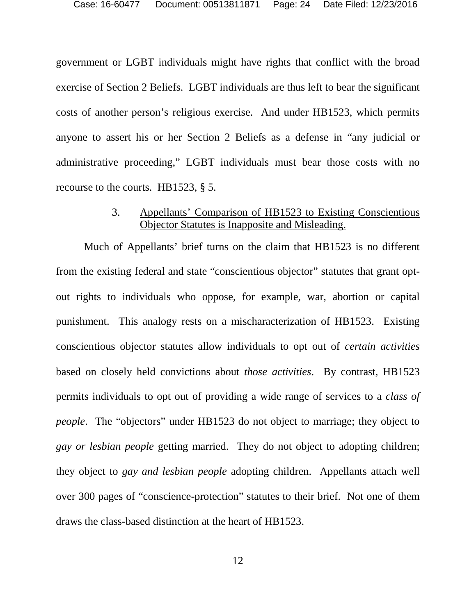government or LGBT individuals might have rights that conflict with the broad exercise of Section 2 Beliefs. LGBT individuals are thus left to bear the significant costs of another person's religious exercise. And under HB1523, which permits anyone to assert his or her Section 2 Beliefs as a defense in "any judicial or administrative proceeding," LGBT individuals must bear those costs with no recourse to the courts. HB1523, § 5.

#### 3. Appellants' Comparison of HB1523 to Existing Conscientious Objector Statutes is Inapposite and Misleading.

<span id="page-23-0"></span>Much of Appellants' brief turns on the claim that HB1523 is no different from the existing federal and state "conscientious objector" statutes that grant optout rights to individuals who oppose, for example, war, abortion or capital punishment. This analogy rests on a mischaracterization of HB1523. Existing conscientious objector statutes allow individuals to opt out of *certain activities* based on closely held convictions about *those activities*. By contrast, HB1523 permits individuals to opt out of providing a wide range of services to a *class of people*. The "objectors" under HB1523 do not object to marriage; they object to *gay or lesbian people* getting married. They do not object to adopting children; they object to *gay and lesbian people* adopting children. Appellants attach well over 300 pages of "conscience-protection" statutes to their brief. Not one of them draws the class-based distinction at the heart of HB1523.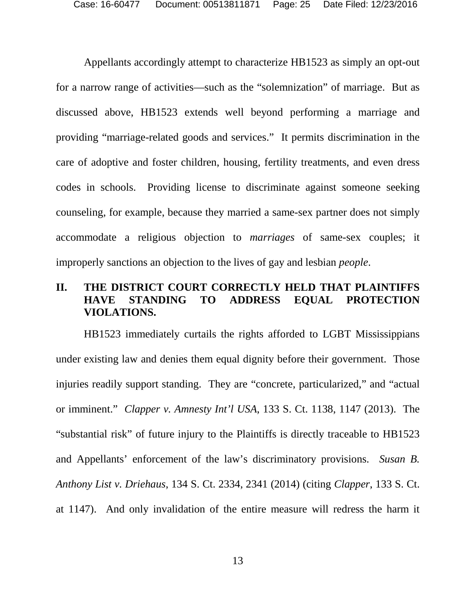Appellants accordingly attempt to characterize HB1523 as simply an opt-out for a narrow range of activities—such as the "solemnization" of marriage. But as discussed above, HB1523 extends well beyond performing a marriage and providing "marriage-related goods and services." It permits discrimination in the care of adoptive and foster children, housing, fertility treatments, and even dress codes in schools. Providing license to discriminate against someone seeking counseling, for example, because they married a same-sex partner does not simply accommodate a religious objection to *marriages* of same-sex couples; it improperly sanctions an objection to the lives of gay and lesbian *people*.

### <span id="page-24-0"></span>**II. THE DISTRICT COURT CORRECTLY HELD THAT PLAINTIFFS HAVE STANDING TO ADDRESS EQUAL PROTECTION VIOLATIONS.**

<span id="page-24-2"></span><span id="page-24-1"></span>HB1523 immediately curtails the rights afforded to LGBT Mississippians under existing law and denies them equal dignity before their government. Those injuries readily support standing. They are "concrete, particularized," and "actual or imminent." *Clapper v. Amnesty Int'l USA*, 133 S. Ct. 1138, 1147 (2013). The "substantial risk" of future injury to the Plaintiffs is directly traceable to HB1523 and Appellants' enforcement of the law's discriminatory provisions. *Susan B. Anthony List v. Driehaus*, 134 S. Ct. 2334, 2341 (2014) (citing *Clapper*, 133 S. Ct. at 1147). And only invalidation of the entire measure will redress the harm it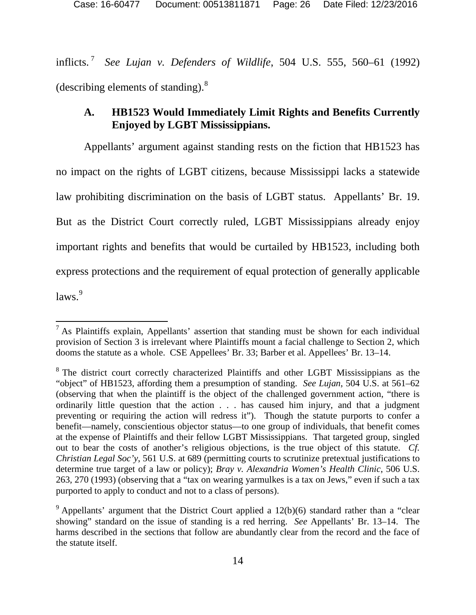inflicts. [7](#page-25-4) *See Lujan v. Defenders of Wildlife*, 504 U.S. 555, 560–61 (1992) (describing elements of standing).[8](#page-25-5)

## <span id="page-25-3"></span><span id="page-25-0"></span>**A. HB1523 Would Immediately Limit Rights and Benefits Currently Enjoyed by LGBT Mississippians.**

Appellants' argument against standing rests on the fiction that HB1523 has no impact on the rights of LGBT citizens, because Mississippi lacks a statewide law prohibiting discrimination on the basis of LGBT status. Appellants' Br. 19. But as the District Court correctly ruled, LGBT Mississippians already enjoy important rights and benefits that would be curtailed by HB1523, including both express protections and the requirement of equal protection of generally applicable laws.<sup>[9](#page-25-6)</sup>

<span id="page-25-4"></span> $<sup>7</sup>$  As Plaintiffs explain, Appellants' assertion that standing must be shown for each individual</sup> provision of Section 3 is irrelevant where Plaintiffs mount a facial challenge to Section 2, which dooms the statute as a whole. CSE Appellees' Br. 33; Barber et al. Appellees' Br. 13–14.

<span id="page-25-5"></span><sup>&</sup>lt;sup>8</sup> The district court correctly characterized Plaintiffs and other LGBT Mississippians as the "object" of HB1523, affording them a presumption of standing. *See Lujan*, 504 U.S. at 561–62 (observing that when the plaintiff is the object of the challenged government action, "there is ordinarily little question that the action . . . has caused him injury, and that a judgment preventing or requiring the action will redress it"). Though the statute purports to confer a benefit—namely, conscientious objector status—to one group of individuals, that benefit comes at the expense of Plaintiffs and their fellow LGBT Mississippians. That targeted group, singled out to bear the costs of another's religious objections, is the true object of this statute. *Cf. Christian Legal Soc'y*, 561 U.S. at 689 (permitting courts to scrutinize pretextual justifications to determine true target of a law or policy); *Bray v. Alexandria Women's Health Clinic*, 506 U.S. 263, 270 (1993) (observing that a "tax on wearing yarmulkes is a tax on Jews," even if such a tax purported to apply to conduct and not to a class of persons).

<span id="page-25-6"></span><span id="page-25-2"></span><span id="page-25-1"></span> $9$  Appellants' argument that the District Court applied a 12(b)(6) standard rather than a "clear showing" standard on the issue of standing is a red herring. *See* Appellants' Br. 13–14. The harms described in the sections that follow are abundantly clear from the record and the face of the statute itself.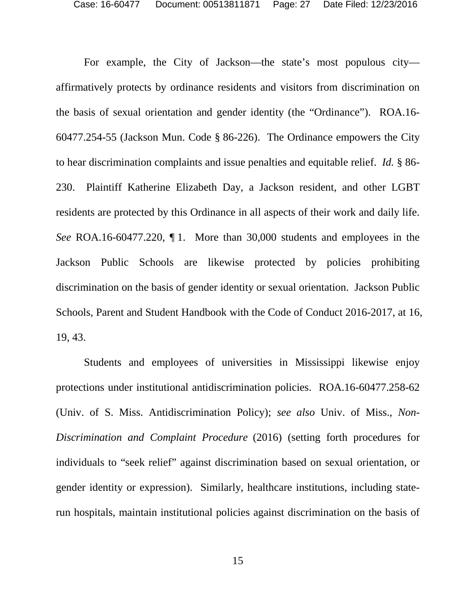<span id="page-26-1"></span><span id="page-26-0"></span>For example, the City of Jackson—the state's most populous city affirmatively protects by ordinance residents and visitors from discrimination on the basis of sexual orientation and gender identity (the "Ordinance"). ROA.16- 60477.254-55 (Jackson Mun. Code § 86-226). The Ordinance empowers the City to hear discrimination complaints and issue penalties and equitable relief. *Id.* § 86- 230. Plaintiff Katherine Elizabeth Day, a Jackson resident, and other LGBT residents are protected by this Ordinance in all aspects of their work and daily life. *See* ROA.16-60477.220, ¶ 1. More than 30,000 students and employees in the Jackson Public Schools are likewise protected by policies prohibiting discrimination on the basis of gender identity or sexual orientation. Jackson Public Schools, Parent and Student Handbook with the Code of Conduct 2016-2017, at 16, 19, 43.

<span id="page-26-3"></span><span id="page-26-2"></span>Students and employees of universities in Mississippi likewise enjoy protections under institutional antidiscrimination policies. ROA.16-60477.258-62 (Univ. of S. Miss. Antidiscrimination Policy); *see also* Univ. of Miss., *Non-Discrimination and Complaint Procedure* (2016) (setting forth procedures for individuals to "seek relief" against discrimination based on sexual orientation, or gender identity or expression). Similarly, healthcare institutions, including staterun hospitals, maintain institutional policies against discrimination on the basis of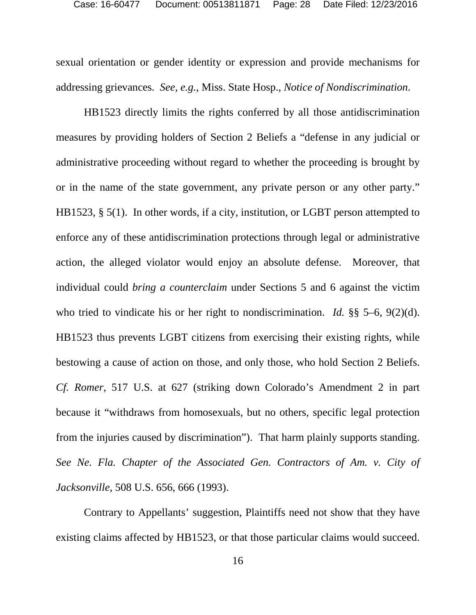<span id="page-27-1"></span>sexual orientation or gender identity or expression and provide mechanisms for addressing grievances. *See, e.g.*, Miss. State Hosp., *Notice of Nondiscrimination*.

HB1523 directly limits the rights conferred by all those antidiscrimination measures by providing holders of Section 2 Beliefs a "defense in any judicial or administrative proceeding without regard to whether the proceeding is brought by or in the name of the state government, any private person or any other party." HB1523, § 5(1). In other words, if a city, institution, or LGBT person attempted to enforce any of these antidiscrimination protections through legal or administrative action, the alleged violator would enjoy an absolute defense. Moreover, that individual could *bring a counterclaim* under Sections 5 and 6 against the victim who tried to vindicate his or her right to nondiscrimination. *Id.* §§ 5–6, 9(2)(d). HB1523 thus prevents LGBT citizens from exercising their existing rights, while bestowing a cause of action on those, and only those, who hold Section 2 Beliefs. *Cf. Romer*, 517 U.S. at 627 (striking down Colorado's Amendment 2 in part because it "withdraws from homosexuals, but no others, specific legal protection from the injuries caused by discrimination"). That harm plainly supports standing. *See Ne. Fla. Chapter of the Associated Gen. Contractors of Am. v. City of Jacksonville*, 508 U.S. 656, 666 (1993).

<span id="page-27-0"></span>Contrary to Appellants' suggestion, Plaintiffs need not show that they have existing claims affected by HB1523, or that those particular claims would succeed.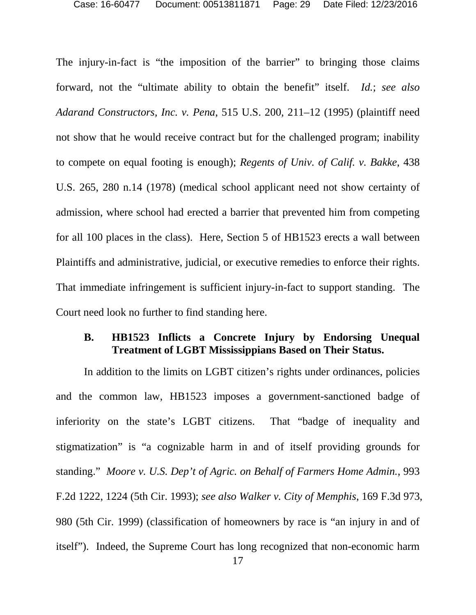<span id="page-28-4"></span><span id="page-28-3"></span><span id="page-28-1"></span>The injury-in-fact is "the imposition of the barrier" to bringing those claims forward, not the "ultimate ability to obtain the benefit" itself. *Id.*; *see also Adarand Constructors, Inc. v. Pena*, 515 U.S. 200, 211–12 (1995) (plaintiff need not show that he would receive contract but for the challenged program; inability to compete on equal footing is enough); *Regents of Univ. of Calif. v. Bakke*, 438 U.S. 265, 280 n.14 (1978) (medical school applicant need not show certainty of admission, where school had erected a barrier that prevented him from competing for all 100 places in the class). Here, Section 5 of HB1523 erects a wall between Plaintiffs and administrative, judicial, or executive remedies to enforce their rights. That immediate infringement is sufficient injury-in-fact to support standing. The Court need look no further to find standing here.

#### <span id="page-28-0"></span>**B. HB1523 Inflicts a Concrete Injury by Endorsing Unequal Treatment of LGBT Mississippians Based on Their Status.**

<span id="page-28-5"></span><span id="page-28-2"></span>In addition to the limits on LGBT citizen's rights under ordinances, policies and the common law, HB1523 imposes a government-sanctioned badge of inferiority on the state's LGBT citizens. That "badge of inequality and stigmatization" is "a cognizable harm in and of itself providing grounds for standing." *Moore v. U.S. Dep't of Agric. on Behalf of Farmers Home Admin.*, 993 F.2d 1222, 1224 (5th Cir. 1993); *see also Walker v. City of Memphis*, 169 F.3d 973, 980 (5th Cir. 1999) (classification of homeowners by race is "an injury in and of itself"). Indeed, the Supreme Court has long recognized that non-economic harm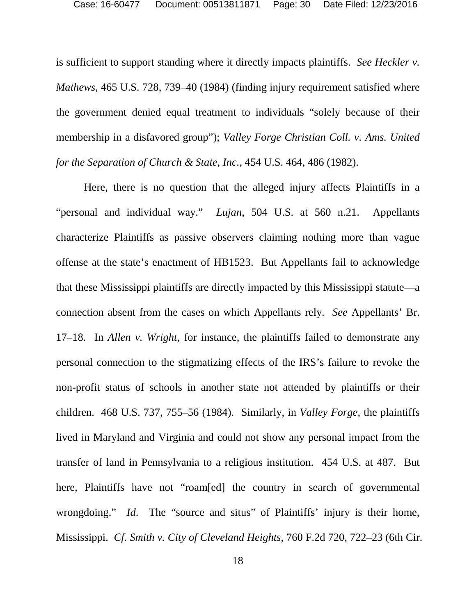<span id="page-29-1"></span>is sufficient to support standing where it directly impacts plaintiffs. *See Heckler v. Mathews*, 465 U.S. 728, 739–40 (1984) (finding injury requirement satisfied where the government denied equal treatment to individuals "solely because of their membership in a disfavored group"); *Valley Forge Christian Coll. v. Ams. United for the Separation of Church & State, Inc.*, 454 U.S. 464, 486 (1982).

<span id="page-29-4"></span><span id="page-29-3"></span><span id="page-29-2"></span><span id="page-29-0"></span>Here, there is no question that the alleged injury affects Plaintiffs in a "personal and individual way." *Lujan*, 504 U.S. at 560 n.21. Appellants characterize Plaintiffs as passive observers claiming nothing more than vague offense at the state's enactment of HB1523. But Appellants fail to acknowledge that these Mississippi plaintiffs are directly impacted by this Mississippi statute—a connection absent from the cases on which Appellants rely. *See* Appellants' Br. 17–18. In *Allen v. Wright*, for instance, the plaintiffs failed to demonstrate any personal connection to the stigmatizing effects of the IRS's failure to revoke the non-profit status of schools in another state not attended by plaintiffs or their children. 468 U.S. 737, 755–56 (1984).Similarly, in *Valley Forge*, the plaintiffs lived in Maryland and Virginia and could not show any personal impact from the transfer of land in Pennsylvania to a religious institution. 454 U.S. at 487. But here, Plaintiffs have not "roam[ed] the country in search of governmental wrongdoing." *Id*. The "source and situs" of Plaintiffs' injury is their home, Mississippi. *Cf. Smith v. City of Cleveland Heights*, 760 F.2d 720, 722–23 (6th Cir.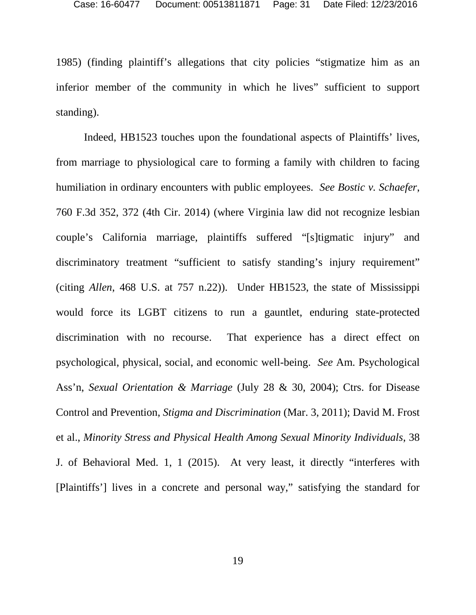1985) (finding plaintiff's allegations that city policies "stigmatize him as an inferior member of the community in which he lives" sufficient to support standing).

<span id="page-30-3"></span><span id="page-30-2"></span><span id="page-30-1"></span><span id="page-30-0"></span>Indeed, HB1523 touches upon the foundational aspects of Plaintiffs' lives, from marriage to physiological care to forming a family with children to facing humiliation in ordinary encounters with public employees. *See Bostic v. Schaefer*, 760 F.3d 352, 372 (4th Cir. 2014) (where Virginia law did not recognize lesbian couple's California marriage, plaintiffs suffered "[s]tigmatic injury" and discriminatory treatment "sufficient to satisfy standing's injury requirement" (citing *Allen*, 468 U.S. at 757 n.22)). Under HB1523, the state of Mississippi would force its LGBT citizens to run a gauntlet, enduring state-protected discrimination with no recourse. That experience has a direct effect on psychological, physical, social, and economic well-being. *See* Am. Psychological Ass'n, *Sexual Orientation & Marriage* (July 28 & 30, 2004); Ctrs. for Disease Control and Prevention, *Stigma and Discrimination* (Mar. 3, 2011); David M. Frost et al., *Minority Stress and Physical Health Among Sexual Minority Individuals*, 38 J. of Behavioral Med. 1, 1 (2015). At very least, it directly "interferes with [Plaintiffs'] lives in a concrete and personal way," satisfying the standard for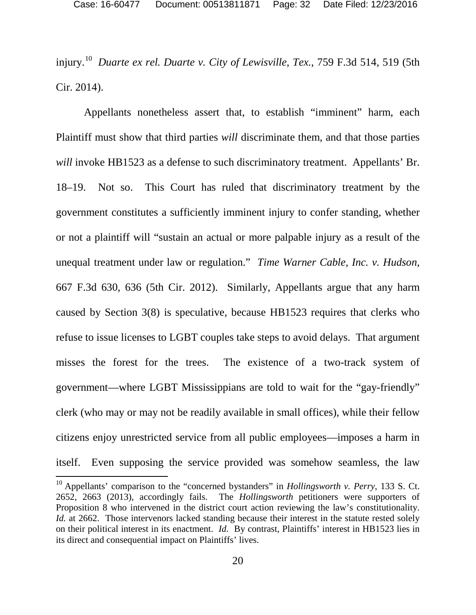<span id="page-31-0"></span>injury.[10](#page-31-3) *Duarte ex rel. Duarte v. City of Lewisville, Tex.*, 759 F.3d 514, 519 (5th Cir. 2014).

<span id="page-31-2"></span>Appellants nonetheless assert that, to establish "imminent" harm, each Plaintiff must show that third parties *will* discriminate them, and that those parties *will* invoke HB1523 as a defense to such discriminatory treatment. Appellants' Br. 18–19. Not so. This Court has ruled that discriminatory treatment by the government constitutes a sufficiently imminent injury to confer standing, whether or not a plaintiff will "sustain an actual or more palpable injury as a result of the unequal treatment under law or regulation." *Time Warner Cable, Inc. v. Hudson*, 667 F.3d 630, 636 (5th Cir. 2012). Similarly, Appellants argue that any harm caused by Section 3(8) is speculative, because HB1523 requires that clerks who refuse to issue licenses to LGBT couples take steps to avoid delays. That argument misses the forest for the trees. The existence of a two-track system of government—where LGBT Mississippians are told to wait for the "gay-friendly" clerk (who may or may not be readily available in small offices), while their fellow citizens enjoy unrestricted service from all public employees—imposes a harm in itself. Even supposing the service provided was somehow seamless, the law

<span id="page-31-3"></span><span id="page-31-1"></span><sup>10</sup> Appellants' comparison to the "concerned bystanders" in *Hollingsworth v. Perry*, 133 S. Ct. 2652, 2663 (2013), accordingly fails. The *Hollingsworth* petitioners were supporters of Proposition 8 who intervened in the district court action reviewing the law's constitutionality. *Id.* at 2662. Those intervenors lacked standing because their interest in the statute rested solely on their political interest in its enactment. *Id.* By contrast, Plaintiffs' interest in HB1523 lies in its direct and consequential impact on Plaintiffs' lives.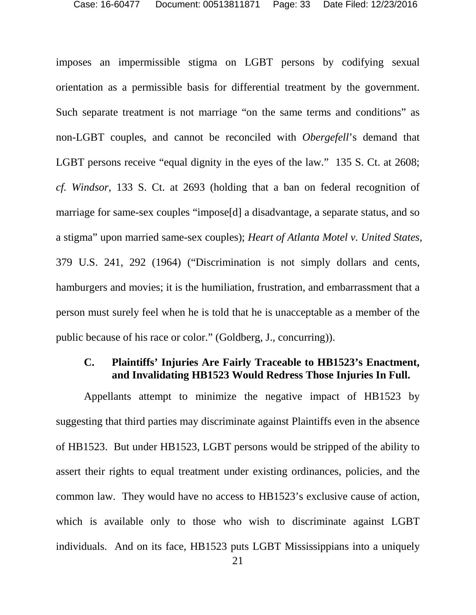<span id="page-32-2"></span>imposes an impermissible stigma on LGBT persons by codifying sexual orientation as a permissible basis for differential treatment by the government. Such separate treatment is not marriage "on the same terms and conditions" as non-LGBT couples, and cannot be reconciled with *Obergefell*'s demand that LGBT persons receive "equal dignity in the eyes of the law." 135 S. Ct. at 2608; *cf. Windsor*, 133 S. Ct. at 2693 (holding that a ban on federal recognition of marriage for same-sex couples "impose[d] a disadvantage, a separate status, and so a stigma" upon married same-sex couples); *Heart of Atlanta Motel v. United States*, 379 U.S. 241, 292 (1964) ("Discrimination is not simply dollars and cents, hamburgers and movies; it is the humiliation, frustration, and embarrassment that a person must surely feel when he is told that he is unacceptable as a member of the public because of his race or color." (Goldberg, J., concurring)).

#### <span id="page-32-1"></span><span id="page-32-0"></span>**C. Plaintiffs' Injuries Are Fairly Traceable to HB1523's Enactment, and Invalidating HB1523 Would Redress Those Injuries In Full.**

Appellants attempt to minimize the negative impact of HB1523 by suggesting that third parties may discriminate against Plaintiffs even in the absence of HB1523. But under HB1523, LGBT persons would be stripped of the ability to assert their rights to equal treatment under existing ordinances, policies, and the common law. They would have no access to HB1523's exclusive cause of action, which is available only to those who wish to discriminate against LGBT individuals. And on its face, HB1523 puts LGBT Mississippians into a uniquely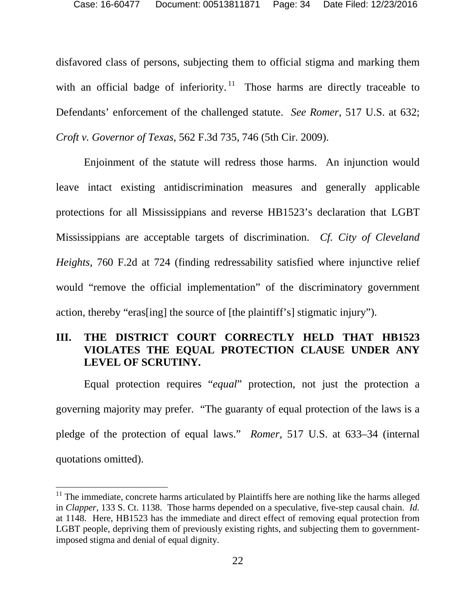disfavored class of persons, subjecting them to official stigma and marking them with an official badge of inferiority.<sup>[11](#page-33-4)</sup> Those harms are directly traceable to Defendants' enforcement of the challenged statute. *See Romer*, 517 U.S. at 632; *Croft v. Governor of Texas*, 562 F.3d 735, 746 (5th Cir. 2009).

<span id="page-33-3"></span><span id="page-33-2"></span>Enjoinment of the statute will redress those harms. An injunction would leave intact existing antidiscrimination measures and generally applicable protections for all Mississippians and reverse HB1523's declaration that LGBT Mississippians are acceptable targets of discrimination. *Cf. City of Cleveland Heights*, 760 F.2d at 724 (finding redressability satisfied where injunctive relief would "remove the official implementation" of the discriminatory government action, thereby "eras[ing] the source of [the plaintiff's] stigmatic injury").

## <span id="page-33-0"></span>**III. THE DISTRICT COURT CORRECTLY HELD THAT HB1523 VIOLATES THE EQUAL PROTECTION CLAUSE UNDER ANY LEVEL OF SCRUTINY.**

Equal protection requires "*equal*" protection, not just the protection a governing majority may prefer. "The guaranty of equal protection of the laws is a pledge of the protection of equal laws." *Romer*, 517 U.S. at 633–34 (internal quotations omitted).

<span id="page-33-4"></span><span id="page-33-1"></span> $11$  The immediate, concrete harms articulated by Plaintiffs here are nothing like the harms alleged in *Clapper*, 133 S. Ct. 1138. Those harms depended on a speculative, five-step causal chain. *Id.* at 1148. Here, HB1523 has the immediate and direct effect of removing equal protection from LGBT people, depriving them of previously existing rights, and subjecting them to governmentimposed stigma and denial of equal dignity.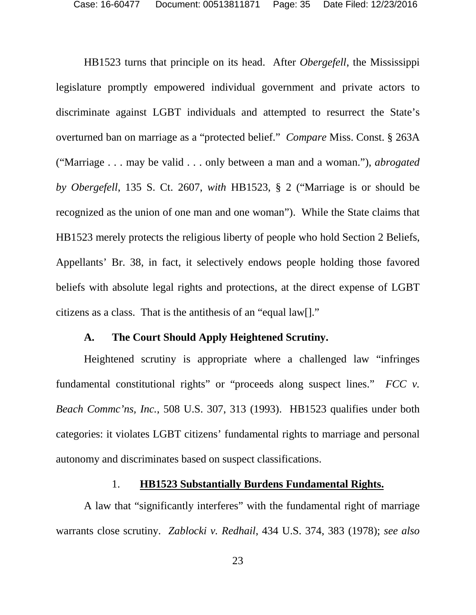<span id="page-34-4"></span>HB1523 turns that principle on its head. After *Obergefell*, the Mississippi legislature promptly empowered individual government and private actors to discriminate against LGBT individuals and attempted to resurrect the State's overturned ban on marriage as a "protected belief." *Compare* Miss. Const. § 263A ("Marriage . . . may be valid . . . only between a man and a woman."), *abrogated by Obergefell*, 135 S. Ct. 2607, *with* HB1523, § 2 ("Marriage is or should be recognized as the union of one man and one woman"). While the State claims that HB1523 merely protects the religious liberty of people who hold Section 2 Beliefs, Appellants' Br. 38, in fact, it selectively endows people holding those favored beliefs with absolute legal rights and protections, at the direct expense of LGBT citizens as a class. That is the antithesis of an "equal law[]."

#### **A. The Court Should Apply Heightened Scrutiny.**

<span id="page-34-0"></span>Heightened scrutiny is appropriate where a challenged law "infringes fundamental constitutional rights" or "proceeds along suspect lines." *FCC v. Beach Commc'ns, Inc.*, 508 U.S. 307, 313 (1993). HB1523 qualifies under both categories: it violates LGBT citizens' fundamental rights to marriage and personal autonomy and discriminates based on suspect classifications.

#### <span id="page-34-3"></span><span id="page-34-2"></span>1. **HB1523 Substantially Burdens Fundamental Rights.**

<span id="page-34-1"></span>A law that "significantly interferes" with the fundamental right of marriage warrants close scrutiny. *Zablocki v. Redhail*, 434 U.S. 374, 383 (1978); *see also*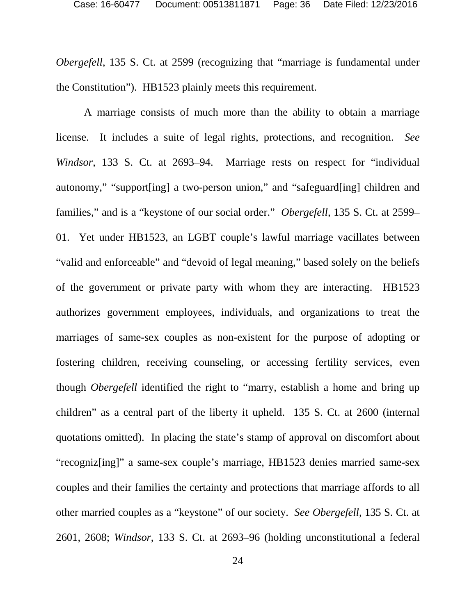*Obergefell*, 135 S. Ct. at 2599 (recognizing that "marriage is fundamental under the Constitution"). HB1523 plainly meets this requirement.

<span id="page-35-0"></span>A marriage consists of much more than the ability to obtain a marriage license. It includes a suite of legal rights, protections, and recognition. *See Windsor*, 133 S. Ct. at 2693–94. Marriage rests on respect for "individual autonomy," "support[ing] a two-person union," and "safeguard[ing] children and families," and is a "keystone of our social order." *Obergefell*, 135 S. Ct. at 2599– 01. Yet under HB1523, an LGBT couple's lawful marriage vacillates between "valid and enforceable" and "devoid of legal meaning," based solely on the beliefs of the government or private party with whom they are interacting. HB1523 authorizes government employees, individuals, and organizations to treat the marriages of same-sex couples as non-existent for the purpose of adopting or fostering children, receiving counseling, or accessing fertility services, even though *Obergefell* identified the right to "marry, establish a home and bring up children" as a central part of the liberty it upheld. 135 S. Ct. at 2600 (internal quotations omitted). In placing the state's stamp of approval on discomfort about "recogniz[ing]" a same-sex couple's marriage, HB1523 denies married same-sex couples and their families the certainty and protections that marriage affords to all other married couples as a "keystone" of our society. *See Obergefell*, 135 S. Ct. at 2601, 2608; *Windsor*, 133 S. Ct. at 2693–96 (holding unconstitutional a federal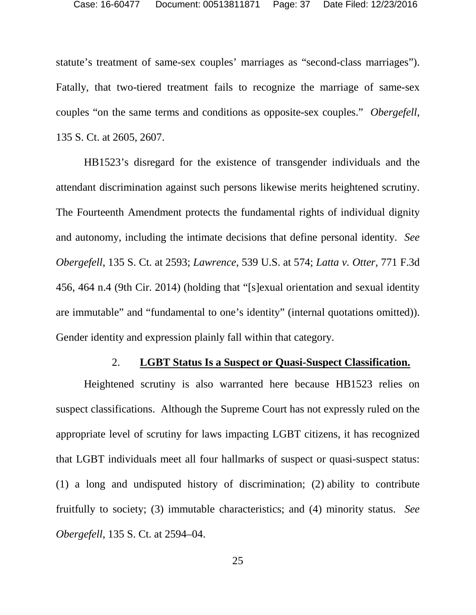statute's treatment of same-sex couples' marriages as "second-class marriages"). Fatally, that two-tiered treatment fails to recognize the marriage of same-sex couples "on the same terms and conditions as opposite-sex couples." *Obergefell*, 135 S. Ct. at 2605, 2607.

<span id="page-36-3"></span>HB1523's disregard for the existence of transgender individuals and the attendant discrimination against such persons likewise merits heightened scrutiny. The Fourteenth Amendment protects the fundamental rights of individual dignity and autonomy, including the intimate decisions that define personal identity. *See Obergefell*, 135 S. Ct. at 2593; *Lawrence*, 539 U.S. at 574; *Latta v. Otter*, 771 F.3d 456, 464 n.4 (9th Cir. 2014) (holding that "[s]exual orientation and sexual identity are immutable" and "fundamental to one's identity" (internal quotations omitted)). Gender identity and expression plainly fall within that category.

#### <span id="page-36-2"></span><span id="page-36-1"></span>2. **LGBT Status Is a Suspect or Quasi-Suspect Classification.**

<span id="page-36-0"></span>Heightened scrutiny is also warranted here because HB1523 relies on suspect classifications. Although the Supreme Court has not expressly ruled on the appropriate level of scrutiny for laws impacting LGBT citizens, it has recognized that LGBT individuals meet all four hallmarks of suspect or quasi-suspect status: (1) a long and undisputed history of discrimination; (2) ability to contribute fruitfully to society; (3) immutable characteristics; and (4) minority status. *See Obergefell*, 135 S. Ct. at 2594–04.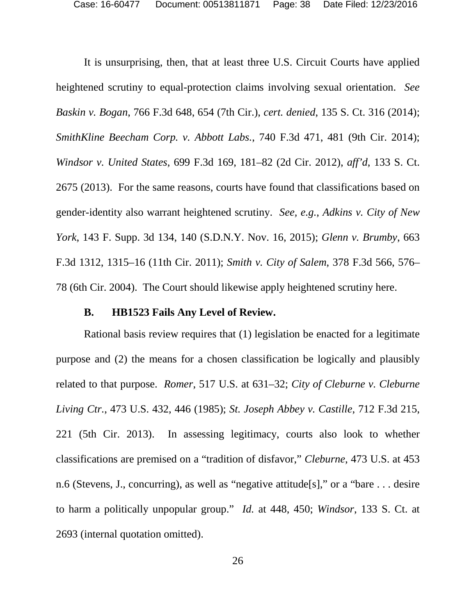<span id="page-37-10"></span><span id="page-37-7"></span><span id="page-37-2"></span>It is unsurprising, then, that at least three U.S. Circuit Courts have applied heightened scrutiny to equal-protection claims involving sexual orientation. *See Baskin v. Bogan*, 766 F.3d 648, 654 (7th Cir.), *cert. denied*, 135 S. Ct. 316 (2014); *SmithKline Beecham Corp. v. Abbott Labs.*, 740 F.3d 471, 481 (9th Cir. 2014); *Windsor v. United States*, 699 F.3d 169, 181–82 (2d Cir. 2012), *aff'd*, 133 S. Ct. 2675 (2013). For the same reasons, courts have found that classifications based on gender-identity also warrant heightened scrutiny. *See, e.g.*, *Adkins v. City of New York*, 143 F. Supp. 3d 134, 140 (S.D.N.Y. Nov. 16, 2015); *Glenn v. Brumby*, 663 F.3d 1312, 1315–16 (11th Cir. 2011); *Smith v. City of Salem*, 378 F.3d 566, 576– 78 (6th Cir. 2004). The Court should likewise apply heightened scrutiny here.

#### <span id="page-37-9"></span><span id="page-37-8"></span><span id="page-37-6"></span><span id="page-37-5"></span><span id="page-37-4"></span><span id="page-37-3"></span><span id="page-37-1"></span>**B. HB1523 Fails Any Level of Review.**

<span id="page-37-0"></span>Rational basis review requires that (1) legislation be enacted for a legitimate purpose and (2) the means for a chosen classification be logically and plausibly related to that purpose. *Romer*, 517 U.S. at 631–32; *City of Cleburne v. Cleburne Living Ctr.*, 473 U.S. 432, 446 (1985); *St. Joseph Abbey v. Castille*, 712 F.3d 215, 221 (5th Cir. 2013). In assessing legitimacy, courts also look to whether classifications are premised on a "tradition of disfavor," *Cleburne*, 473 U.S. at 453 n.6 (Stevens, J., concurring), as well as "negative attitude[s]," or a "bare . . . desire to harm a politically unpopular group." *Id.* at 448, 450; *Windsor*, 133 S. Ct. at 2693 (internal quotation omitted).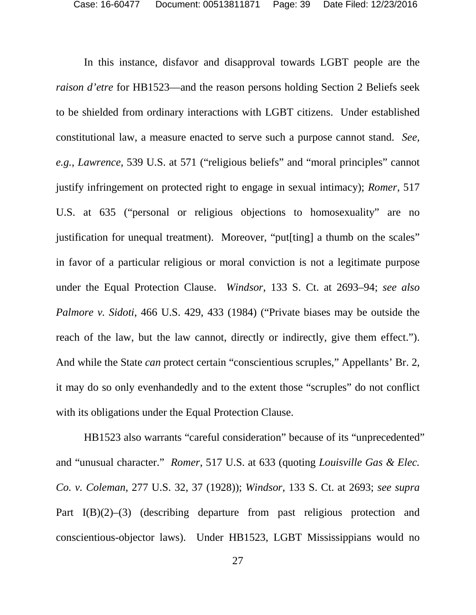<span id="page-38-0"></span>In this instance, disfavor and disapproval towards LGBT people are the *raison d'etre* for HB1523—and the reason persons holding Section 2 Beliefs seek to be shielded from ordinary interactions with LGBT citizens. Under established constitutional law, a measure enacted to serve such a purpose cannot stand. *See, e.g.*, *Lawrence*, 539 U.S. at 571 ("religious beliefs" and "moral principles" cannot justify infringement on protected right to engage in sexual intimacy); *Romer*, 517 U.S. at 635 ("personal or religious objections to homosexuality" are no justification for unequal treatment). Moreover, "put[ting] a thumb on the scales" in favor of a particular religious or moral conviction is not a legitimate purpose under the Equal Protection Clause. *Windsor*, 133 S. Ct. at 2693–94; *see also Palmore v. Sidoti*, 466 U.S. 429, 433 (1984) ("Private biases may be outside the reach of the law, but the law cannot, directly or indirectly, give them effect."). And while the State *can* protect certain "conscientious scruples," Appellants' Br. 2, it may do so only evenhandedly and to the extent those "scruples" do not conflict with its obligations under the Equal Protection Clause.

<span id="page-38-1"></span>HB1523 also warrants "careful consideration" because of its "unprecedented" and "unusual character." *Romer*, 517 U.S. at 633 (quoting *Louisville Gas & Elec. Co. v. Coleman*, 277 U.S. 32, 37 (1928)); *Windsor*, 133 S. Ct. at 2693; *see supra* Part I(B)(2)–(3) (describing departure from past religious protection and conscientious-objector laws). Under HB1523, LGBT Mississippians would no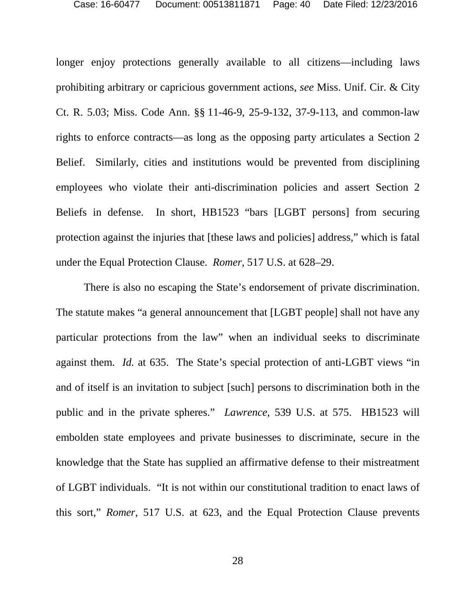<span id="page-39-2"></span><span id="page-39-1"></span>longer enjoy protections generally available to all citizens—including laws prohibiting arbitrary or capricious government actions, *see* Miss. Unif. Cir. & City Ct. R. 5.03; Miss. Code Ann. §§ 11-46-9, 25-9-132, 37-9-113, and common-law rights to enforce contracts—as long as the opposing party articulates a Section 2 Belief. Similarly, cities and institutions would be prevented from disciplining employees who violate their anti-discrimination policies and assert Section 2 Beliefs in defense. In short, HB1523 "bars [LGBT persons] from securing protection against the injuries that [these laws and policies] address," which is fatal under the Equal Protection Clause. *Romer*, 517 U.S. at 628–29.

<span id="page-39-0"></span>There is also no escaping the State's endorsement of private discrimination. The statute makes "a general announcement that [LGBT people] shall not have any particular protections from the law" when an individual seeks to discriminate against them. *Id.* at 635. The State's special protection of anti-LGBT views "in and of itself is an invitation to subject [such] persons to discrimination both in the public and in the private spheres." *Lawrence*, 539 U.S. at 575. HB1523 will embolden state employees and private businesses to discriminate, secure in the knowledge that the State has supplied an affirmative defense to their mistreatment of LGBT individuals. "It is not within our constitutional tradition to enact laws of this sort," *Romer*, 517 U.S. at 623, and the Equal Protection Clause prevents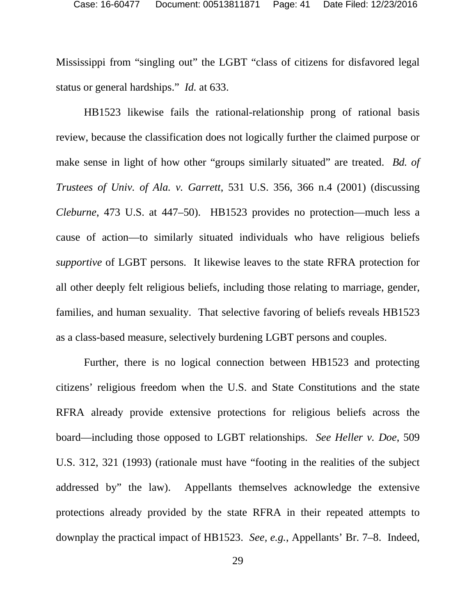Mississippi from "singling out" the LGBT "class of citizens for disfavored legal status or general hardships." *Id.* at 633.

<span id="page-40-1"></span><span id="page-40-0"></span>HB1523 likewise fails the rational-relationship prong of rational basis review, because the classification does not logically further the claimed purpose or make sense in light of how other "groups similarly situated" are treated. *Bd. of Trustees of Univ. of Ala. v. Garrett*, 531 U.S. 356, 366 n.4 (2001) (discussing *Cleburne*, 473 U.S. at 447–50). HB1523 provides no protection—much less a cause of action—to similarly situated individuals who have religious beliefs *supportive* of LGBT persons. It likewise leaves to the state RFRA protection for all other deeply felt religious beliefs, including those relating to marriage, gender, families, and human sexuality. That selective favoring of beliefs reveals HB1523 as a class-based measure, selectively burdening LGBT persons and couples.

<span id="page-40-2"></span>Further, there is no logical connection between HB1523 and protecting citizens' religious freedom when the U.S. and State Constitutions and the state RFRA already provide extensive protections for religious beliefs across the board—including those opposed to LGBT relationships. *See Heller v. Doe*, 509 U.S. 312, 321 (1993) (rationale must have "footing in the realities of the subject addressed by" the law). Appellants themselves acknowledge the extensive protections already provided by the state RFRA in their repeated attempts to downplay the practical impact of HB1523. *See, e.g.*, Appellants' Br. 7–8. Indeed,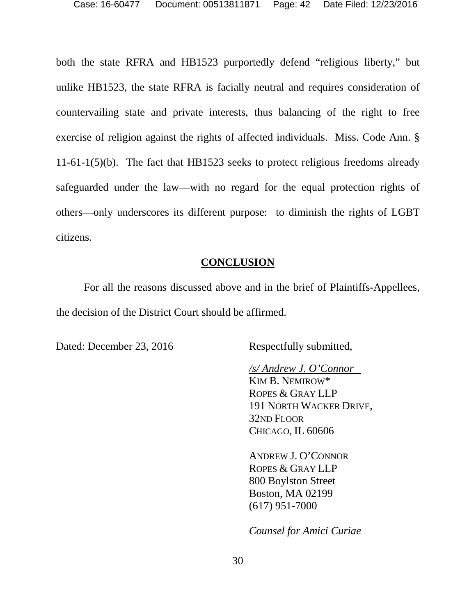both the state RFRA and HB1523 purportedly defend "religious liberty," but unlike HB1523, the state RFRA is facially neutral and requires consideration of countervailing state and private interests, thus balancing of the right to free exercise of religion against the rights of affected individuals. Miss. Code Ann. § 11-61-1(5)(b). The fact that HB1523 seeks to protect religious freedoms already safeguarded under the law—with no regard for the equal protection rights of others—only underscores its different purpose: to diminish the rights of LGBT citizens.

#### **CONCLUSION**

<span id="page-41-0"></span>For all the reasons discussed above and in the brief of Plaintiffs-Appellees, the decision of the District Court should be affirmed.

Dated: December 23, 2016 Respectfully submitted,

*/s/ Andrew J. O'Connor* KIM B. NEMIROW\* ROPES & GRAY LLP 191 NORTH WACKER DRIVE, 32ND FLOOR CHICAGO, IL 60606

ANDREW J. O'CONNOR ROPES & GRAY LLP 800 Boylston Street Boston, MA 02199 (617) 951-7000

*Counsel for Amici Curiae*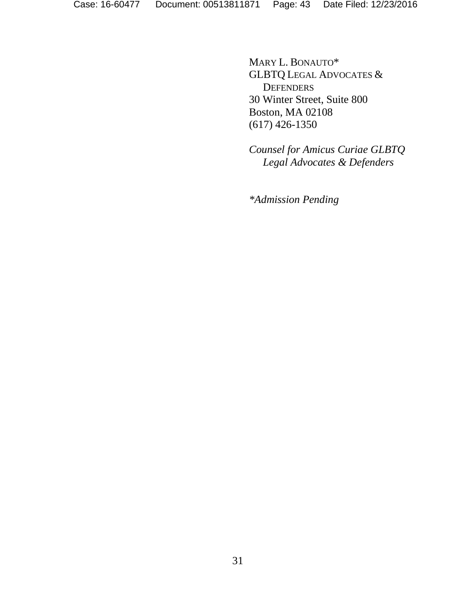MARY L. BONAUTO\* GLBTQ LEGAL ADVOCATES & **DEFENDERS** 30 Winter Street, Suite 800 Boston, MA 02108 (617) 426-1350

*Counsel for Amicus Curiae GLBTQ Legal Advocates & Defenders*

*\*Admission Pending*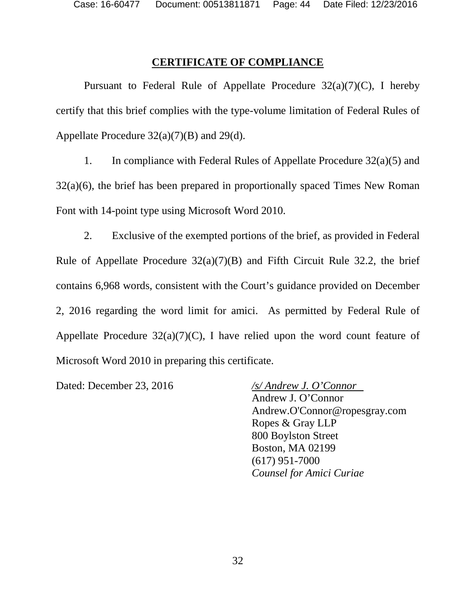#### **CERTIFICATE OF COMPLIANCE**

<span id="page-43-0"></span>Pursuant to Federal Rule of Appellate Procedure  $32(a)(7)(C)$ , I hereby certify that this brief complies with the type-volume limitation of Federal Rules of Appellate Procedure  $32(a)(7)(B)$  and  $29(d)$ .

1. In compliance with Federal Rules of Appellate Procedure 32(a)(5) and 32(a)(6), the brief has been prepared in proportionally spaced Times New Roman Font with 14-point type using Microsoft Word 2010.

2. Exclusive of the exempted portions of the brief, as provided in Federal Rule of Appellate Procedure  $32(a)(7)(B)$  and Fifth Circuit Rule 32.2, the brief contains 6,968 words, consistent with the Court's guidance provided on December 2, 2016 regarding the word limit for amici. As permitted by Federal Rule of Appellate Procedure  $32(a)(7)(C)$ , I have relied upon the word count feature of Microsoft Word 2010 in preparing this certificate.

Dated: December 23, 2016 */s/ Andrew J. O'Connor*

Andrew J. O'Connor Andrew.O'Connor@ropesgray.com Ropes & Gray LLP 800 Boylston Street Boston, MA 02199 (617) 951-7000 *Counsel for Amici Curiae*